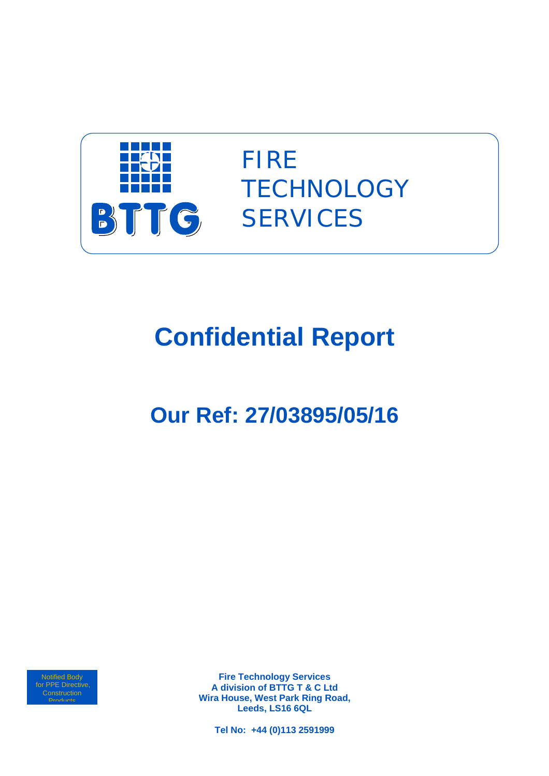

FIRE **TECHNOLOGY SERVICES** 

# **Confidential Report**

## **Our Ref: 27/03895/05/16**

Notified Body for PPE Directive, **Products** 

**Fire Technology Services A division of BTTG T & C Ltd Wira House, West Park Ring Road, Leeds, LS16 6QL** 

**Tel No: +44 (0)113 2591999**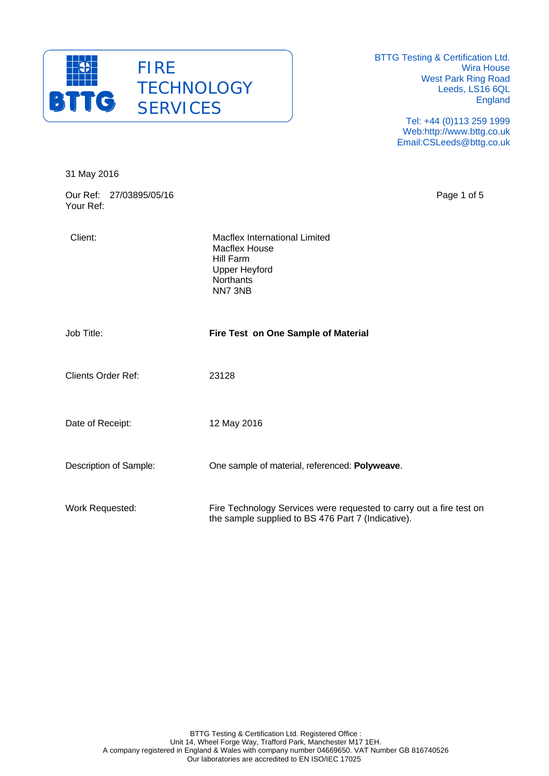

> Tel: +44 (0)113 259 1999 Web:http://www.bttg.co.uk Email:CSLeeds@bttg.co.uk

| 31 May 2016                          |                                                                                                                                  |             |
|--------------------------------------|----------------------------------------------------------------------------------------------------------------------------------|-------------|
| Our Ref: 27/03895/05/16<br>Your Ref: |                                                                                                                                  | Page 1 of 5 |
| Client:                              | <b>Macflex International Limited</b><br><b>Macflex House</b><br><b>Hill Farm</b><br><b>Upper Heyford</b><br>Northants<br>NN7 3NB |             |
| Job Title:                           | Fire Test on One Sample of Material                                                                                              |             |
| <b>Clients Order Ref:</b>            | 23128                                                                                                                            |             |
| Date of Receipt:                     | 12 May 2016                                                                                                                      |             |
| Description of Sample:               | One sample of material, referenced: Polyweave.                                                                                   |             |
| Work Requested:                      | Fire Technology Services were requested to carry out a fire test on<br>the sample supplied to BS 476 Part 7 (Indicative).        |             |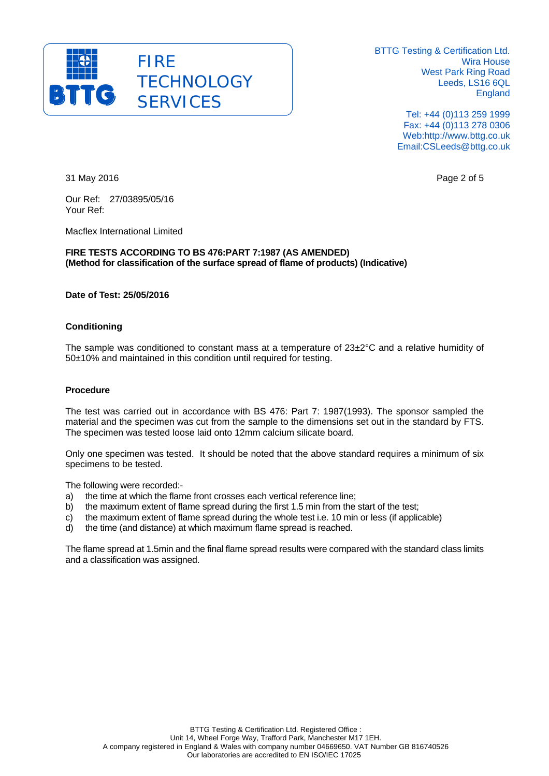

> Tel: +44 (0)113 259 1999 Fax: +44 (0)113 278 0306 Web:http://www.bttg.co.uk Email:CSLeeds@bttg.co.uk

31 May 2016 **Page 2 of 5** and 2016

Our Ref: 27/03895/05/16 Your Ref:

Macflex International Limited

**FIRE TESTS ACCORDING TO BS 476:PART 7:1987 (AS AMENDED) (Method for classification of the surface spread of flame of products) (Indicative)** 

#### **Date of Test: 25/05/2016**

#### **Conditioning**

The sample was conditioned to constant mass at a temperature of 23±2°C and a relative humidity of 50±10% and maintained in this condition until required for testing.

#### **Procedure**

The test was carried out in accordance with BS 476: Part 7: 1987(1993). The sponsor sampled the material and the specimen was cut from the sample to the dimensions set out in the standard by FTS. The specimen was tested loose laid onto 12mm calcium silicate board.

Only one specimen was tested. It should be noted that the above standard requires a minimum of six specimens to be tested.

The following were recorded:-

- a) the time at which the flame front crosses each vertical reference line;
- b) the maximum extent of flame spread during the first 1.5 min from the start of the test;
- c) the maximum extent of flame spread during the whole test i.e. 10 min or less (if applicable)
- d) the time (and distance) at which maximum flame spread is reached.

The flame spread at 1.5min and the final flame spread results were compared with the standard class limits and a classification was assigned.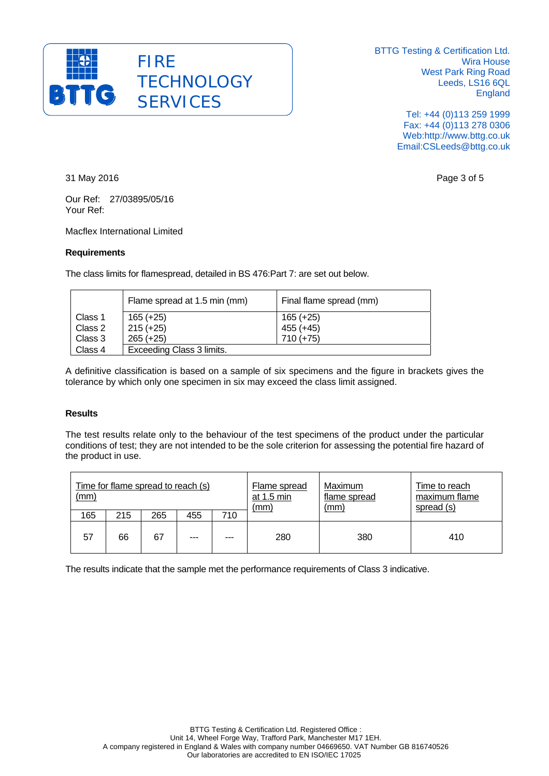

> Tel: +44 (0)113 259 1999 Fax: +44 (0)113 278 0306 Web:http://www.bttg.co.uk Email:CSLeeds@bttg.co.uk

31 May 2016 Page 3 of 5

Our Ref: 27/03895/05/16 Your Ref:

Macflex International Limited

#### **Requirements**

The class limits for flamespread, detailed in BS 476:Part 7: are set out below.

|         | Flame spread at 1.5 min (mm) | Final flame spread (mm) |  |  |  |
|---------|------------------------------|-------------------------|--|--|--|
| Class 1 | $165 (+25)$                  | $165 (+25)$             |  |  |  |
| Class 2 | $215 (+25)$                  | $455 (+45)$             |  |  |  |
| Class 3 | $265 (+25)$                  | $710 (+75)$             |  |  |  |
| Class 4 | Exceeding Class 3 limits.    |                         |  |  |  |

A definitive classification is based on a sample of six specimens and the figure in brackets gives the tolerance by which only one specimen in six may exceed the class limit assigned.

#### **Results**

The test results relate only to the behaviour of the test specimens of the product under the particular conditions of test; they are not intended to be the sole criterion for assessing the potential fire hazard of the product in use.

| Time for flame spread to reach (s)<br>(mm) |     |     |     |     | Flame spread<br>at $1.5 \text{ min}$<br><u>(mm)</u> | Maximum<br>flame spread<br>(mm) | Time to reach<br>maximum flame<br>spread (s) |
|--------------------------------------------|-----|-----|-----|-----|-----------------------------------------------------|---------------------------------|----------------------------------------------|
| 165                                        | 215 | 265 | 455 | 710 |                                                     |                                 |                                              |
| 57                                         | 66  | 67  | --- | --- | 280                                                 | 380                             | 410                                          |

The results indicate that the sample met the performance requirements of Class 3 indicative.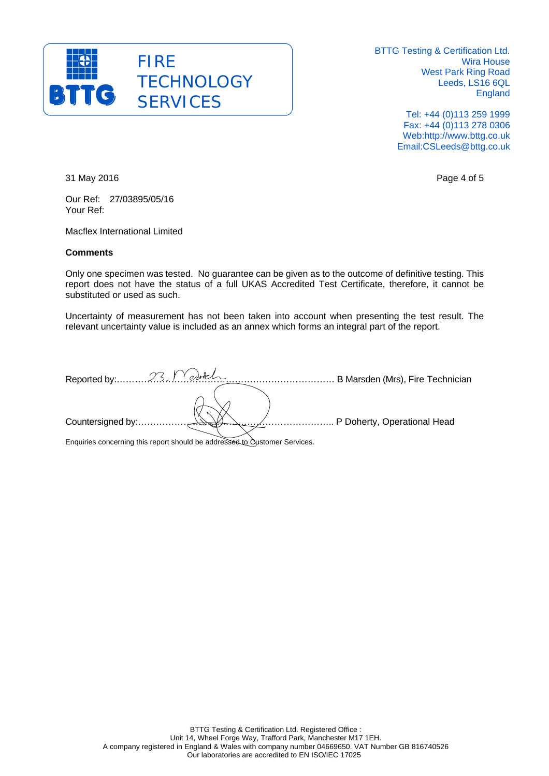

> Tel: +44 (0)113 259 1999 Fax: +44 (0)113 278 0306 Web:http://www.bttg.co.uk Email:CSLeeds@bttg.co.uk

31 May 2016 Page 4 of 5

Our Ref: 27/03895/05/16 Your Ref:

Macflex International Limited

#### **Comments**

Only one specimen was tested. No guarantee can be given as to the outcome of definitive testing. This report does not have the status of a full UKAS Accredited Test Certificate, therefore, it cannot be substituted or used as such.

Uncertainty of measurement has not been taken into account when presenting the test result. The relevant uncertainty value is included as an annex which forms an integral part of the report.

|                                                                                                                                                                                                                               | B Marsden (Mrs), Fire Technician |
|-------------------------------------------------------------------------------------------------------------------------------------------------------------------------------------------------------------------------------|----------------------------------|
|                                                                                                                                                                                                                               |                                  |
|                                                                                                                                                                                                                               | P Doherty, Operational Head      |
| the control of the company of the company of the control of the control of the control of the control of the control of the control of the control of the control of the control of the control of the control of the control |                                  |

Enquiries concerning this report should be addressed to Customer Services.